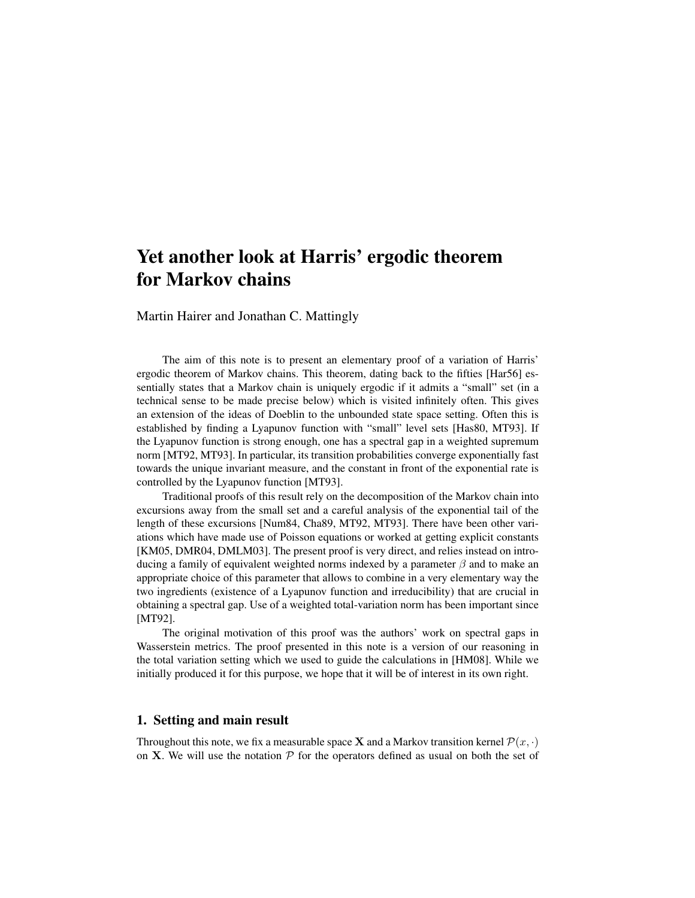# Yet another look at Harris' ergodic theorem for Markov chains

Martin Hairer and Jonathan C. Mattingly

The aim of this note is to present an elementary proof of a variation of Harris' ergodic theorem of Markov chains. This theorem, dating back to the fifties [Har56] essentially states that a Markov chain is uniquely ergodic if it admits a "small" set (in a technical sense to be made precise below) which is visited infinitely often. This gives an extension of the ideas of Doeblin to the unbounded state space setting. Often this is established by finding a Lyapunov function with "small" level sets [Has80, MT93]. If the Lyapunov function is strong enough, one has a spectral gap in a weighted supremum norm [MT92, MT93]. In particular, its transition probabilities converge exponentially fast towards the unique invariant measure, and the constant in front of the exponential rate is controlled by the Lyapunov function [MT93].

Traditional proofs of this result rely on the decomposition of the Markov chain into excursions away from the small set and a careful analysis of the exponential tail of the length of these excursions [Num84, Cha89, MT92, MT93]. There have been other variations which have made use of Poisson equations or worked at getting explicit constants [KM05, DMR04, DMLM03]. The present proof is very direct, and relies instead on introducing a family of equivalent weighted norms indexed by a parameter  $\beta$  and to make an appropriate choice of this parameter that allows to combine in a very elementary way the two ingredients (existence of a Lyapunov function and irreducibility) that are crucial in obtaining a spectral gap. Use of a weighted total-variation norm has been important since [MT92].

The original motivation of this proof was the authors' work on spectral gaps in Wasserstein metrics. The proof presented in this note is a version of our reasoning in the total variation setting which we used to guide the calculations in [HM08]. While we initially produced it for this purpose, we hope that it will be of interest in its own right.

# 1. Setting and main result

Throughout this note, we fix a measurable space **X** and a Markov transition kernel  $\mathcal{P}(x, \cdot)$ on X. We will use the notation  $P$  for the operators defined as usual on both the set of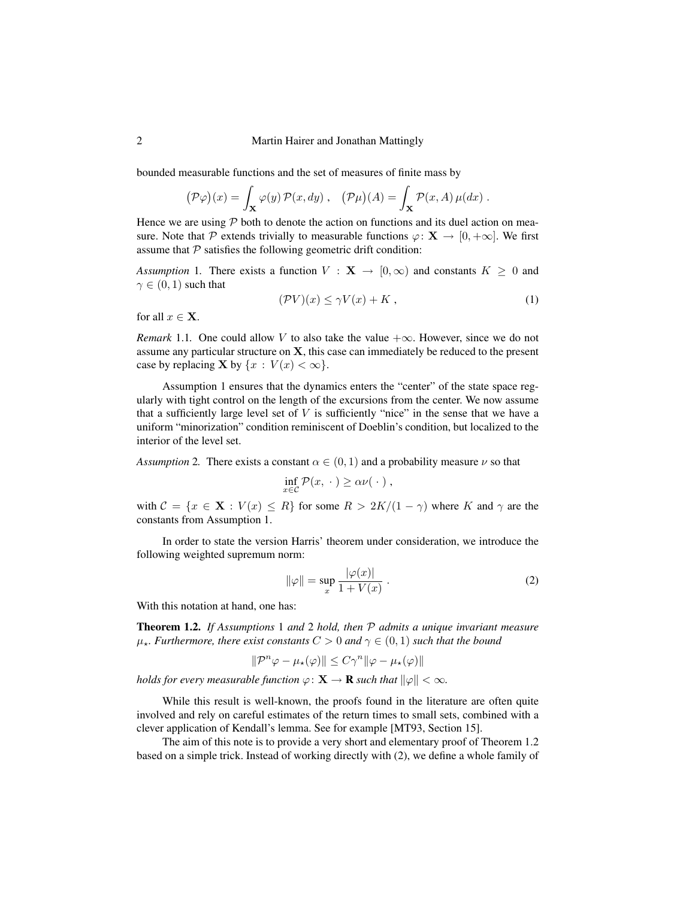#### 2 Martin Hairer and Jonathan Mattingly

bounded measurable functions and the set of measures of finite mass by

$$
(\mathcal{P}\varphi)(x) = \int_{\mathbf{X}} \varphi(y) \mathcal{P}(x, dy) , \quad (\mathcal{P}\mu)(A) = \int_{\mathbf{X}} \mathcal{P}(x, A) \mu(dx) .
$$

Hence we are using  $P$  both to denote the action on functions and its duel action on measure. Note that P extends trivially to measurable functions  $\varphi: \mathbf{X} \to [0, +\infty]$ . We first assume that  $P$  satisfies the following geometric drift condition:

*Assumption* 1. There exists a function  $V : \mathbf{X} \to [0, \infty)$  and constants  $K \geq 0$  and  $\gamma \in (0,1)$  such that

$$
(\mathcal{P}V)(x) \le \gamma V(x) + K \tag{1}
$$

for all  $x \in \mathbf{X}$ .

*Remark* 1.1. One could allow V to also take the value  $+\infty$ . However, since we do not assume any particular structure on X, this case can immediately be reduced to the present case by replacing **X** by  $\{x : V(x) < \infty\}.$ 

Assumption 1 ensures that the dynamics enters the "center" of the state space regularly with tight control on the length of the excursions from the center. We now assume that a sufficiently large level set of  $V$  is sufficiently "nice" in the sense that we have a uniform "minorization" condition reminiscent of Doeblin's condition, but localized to the interior of the level set.

*Assumption* 2. There exists a constant  $\alpha \in (0, 1)$  and a probability measure  $\nu$  so that

$$
\inf_{x \in \mathcal{C}} \mathcal{P}(x, \cdot) \ge \alpha \nu(\cdot) ,
$$

with  $C = \{x \in \mathbf{X} : V(x) \leq R\}$  for some  $R > 2K/(1 - \gamma)$  where K and  $\gamma$  are the constants from Assumption 1.

In order to state the version Harris' theorem under consideration, we introduce the following weighted supremum norm:

$$
\|\varphi\| = \sup_{x} \frac{|\varphi(x)|}{1 + V(x)} . \tag{2}
$$

With this notation at hand, one has:

Theorem 1.2. *If Assumptions* 1 *and* 2 *hold, then* P *admits a unique invariant measure*  $\mu_{\star}$ *. Furthermore, there exist constants*  $C > 0$  *and*  $\gamma \in (0, 1)$  *such that the bound* 

$$
\|\mathcal{P}^n\varphi-\mu_\star(\varphi)\|\leq C\gamma^n\|\varphi-\mu_\star(\varphi)\|
$$

*holds for every measurable function*  $\varphi \colon \mathbf{X} \to \mathbf{R}$  *such that*  $\|\varphi\| < \infty$ *.* 

While this result is well-known, the proofs found in the literature are often quite involved and rely on careful estimates of the return times to small sets, combined with a clever application of Kendall's lemma. See for example [MT93, Section 15].

The aim of this note is to provide a very short and elementary proof of Theorem 1.2 based on a simple trick. Instead of working directly with (2), we define a whole family of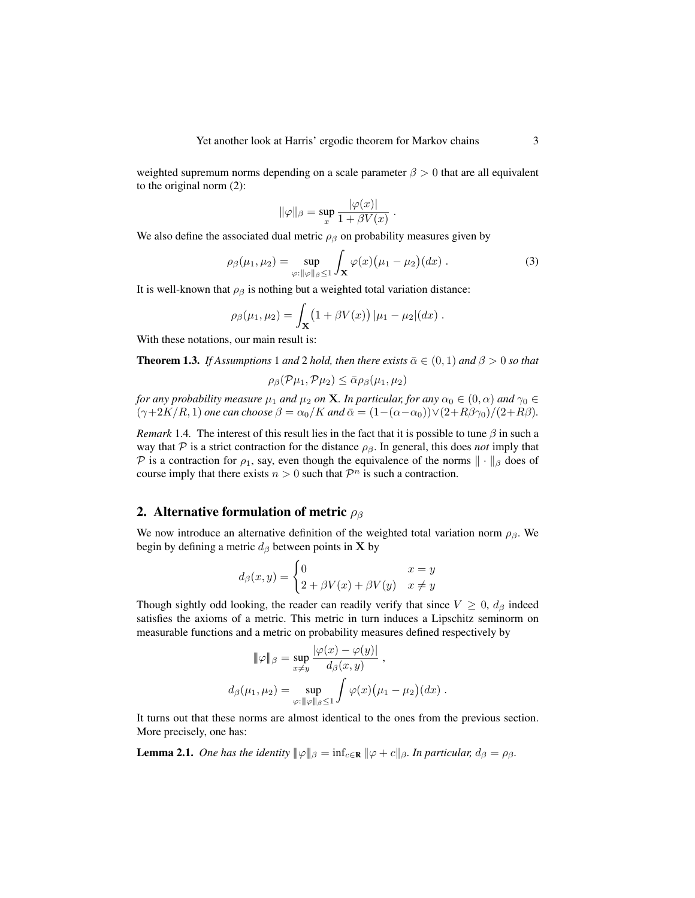weighted supremum norms depending on a scale parameter  $\beta > 0$  that are all equivalent to the original norm (2):

$$
\|\varphi\|_{\beta} = \sup_{x} \frac{|\varphi(x)|}{1 + \beta V(x)}.
$$

We also define the associated dual metric  $\rho_{\beta}$  on probability measures given by

$$
\rho_{\beta}(\mu_1, \mu_2) = \sup_{\varphi: \|\varphi\|_{\beta} \le 1} \int_{\mathbf{X}} \varphi(x) (\mu_1 - \mu_2)(dx) . \tag{3}
$$

It is well-known that  $\rho_{\beta}$  is nothing but a weighted total variation distance:

$$
\rho_{\beta}(\mu_1, \mu_2) = \int_{\mathbf{X}} (1 + \beta V(x)) |\mu_1 - \mu_2| (dx) .
$$

With these notations, our main result is:

**Theorem 1.3.** *If Assumptions* 1 *and* 2 *hold, then there exists*  $\bar{\alpha} \in (0,1)$  *and*  $\beta > 0$  *so that* 

$$
\rho_{\beta}(\mathcal{P}\mu_1, \mathcal{P}\mu_2) \le \bar{\alpha} \rho_{\beta}(\mu_1, \mu_2)
$$

*for any probability measure*  $\mu_1$  *and*  $\mu_2$  *on* **X***. In particular, for any*  $\alpha_0 \in (0, \alpha)$  *and*  $\gamma_0 \in$  $(\gamma+2K/R, 1)$  *one can choose*  $\beta = \alpha_0/K$  *and*  $\bar{\alpha} = (1-(\alpha-\alpha_0))\vee(2+R\beta_0)/(2+R\beta)$ .

*Remark* 1.4. The interest of this result lies in the fact that it is possible to tune  $\beta$  in such a way that P is a strict contraction for the distance  $\rho_{\beta}$ . In general, this does *not* imply that P is a contraction for  $\rho_1$ , say, even though the equivalence of the norms  $\|\cdot\|_{\beta}$  does of course imply that there exists  $n > 0$  such that  $\mathcal{P}^n$  is such a contraction.

# 2. Alternative formulation of metric  $\rho_{\beta}$

We now introduce an alternative definition of the weighted total variation norm  $\rho_{\beta}$ . We begin by defining a metric  $d_{\beta}$  between points in **X** by

$$
d_{\beta}(x,y) = \begin{cases} 0 & x = y \\ 2 + \beta V(x) + \beta V(y) & x \neq y \end{cases}
$$

Though sightly odd looking, the reader can readily verify that since  $V \geq 0$ ,  $d_{\beta}$  indeed satisfies the axioms of a metric. This metric in turn induces a Lipschitz seminorm on measurable functions and a metric on probability measures defined respectively by

$$
\|\varphi\|_{\beta} = \sup_{x \neq y} \frac{|\varphi(x) - \varphi(y)|}{d_{\beta}(x, y)},
$$
  

$$
d_{\beta}(\mu_1, \mu_2) = \sup_{\varphi: \|\varphi\|_{\beta} \leq 1} \int \varphi(x) (\mu_1 - \mu_2)(dx).
$$

It turns out that these norms are almost identical to the ones from the previous section. More precisely, one has:

**Lemma 2.1.** *One has the identity*  $\|\varphi\|_{\beta} = \inf_{c \in \mathbf{R}} \|\varphi + c\|_{\beta}$ *. In particular,*  $d_{\beta} = \rho_{\beta}$ *.*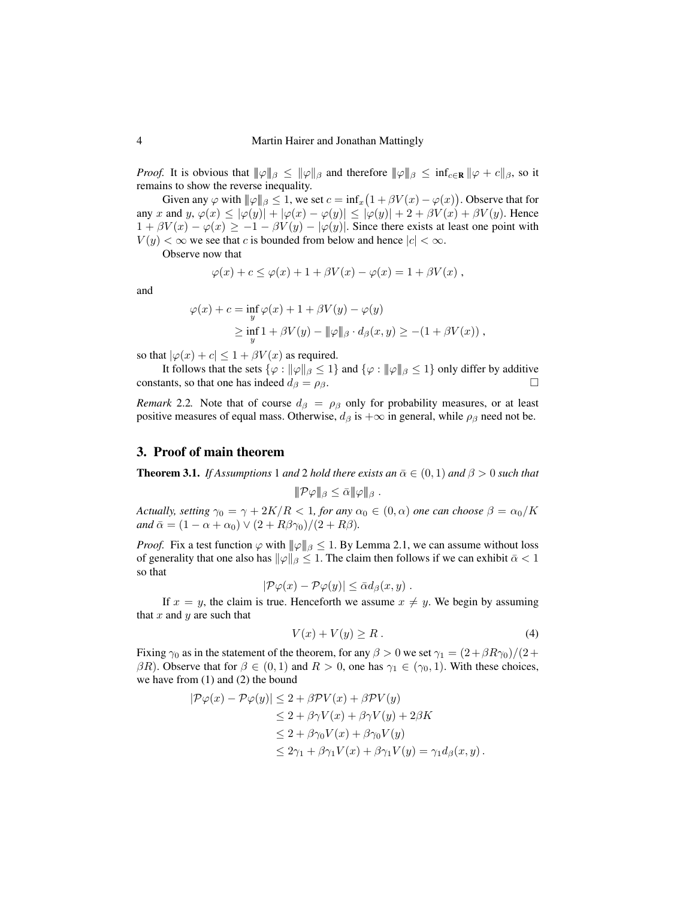*Proof.* It is obvious that  $\|\varphi\|_{\beta} \le \|\varphi\|_{\beta}$  and therefore  $\|\varphi\|_{\beta} \le \inf_{c \in \mathbf{R}} \|\varphi + c\|_{\beta}$ , so it remains to show the reverse inequality.

Given any  $\varphi$  with  $\|\varphi\|_{\beta} \leq 1$ , we set  $c = \inf_x (1 + \beta V(x) - \varphi(x))$ . Observe that for any x and  $y, \varphi(x) \le |\varphi(y)| + |\varphi(x) - \varphi(y)| \le |\varphi(y)| + 2 + \beta V(x) + \beta V(y)$ . Hence  $1 + \beta V(x) - \varphi(x) \ge -1 - \beta V(y) - |\varphi(y)|$ . Since there exists at least one point with  $V(y) < \infty$  we see that c is bounded from below and hence  $|c| < \infty$ .

Observe now that

$$
\varphi(x) + c \leq \varphi(x) + 1 + \beta V(x) - \varphi(x) = 1 + \beta V(x) ,
$$

and

$$
\varphi(x) + c = \inf_{y} \varphi(x) + 1 + \beta V(y) - \varphi(y)
$$
  
\n
$$
\geq \inf_{y} 1 + \beta V(y) - ||\varphi||_{\beta} \cdot d_{\beta}(x, y) \geq -(1 + \beta V(x)),
$$

so that  $|\varphi(x) + c| \leq 1 + \beta V(x)$  as required.

It follows that the sets  $\{\varphi : ||\varphi||_{\beta} \leq 1\}$  and  $\{\varphi : ||\varphi||_{\beta} \leq 1\}$  only differ by additive constants, so that one has indeed  $d_{\beta} = \rho_{\beta}$ .

*Remark* 2.2. Note that of course  $d_\beta = \rho_\beta$  only for probability measures, or at least positive measures of equal mass. Otherwise,  $d_{\beta}$  is  $+\infty$  in general, while  $\rho_{\beta}$  need not be.

## 3. Proof of main theorem

**Theorem 3.1.** *If Assumptions* 1 *and* 2 *hold there exists an*  $\bar{\alpha} \in (0,1)$  *and*  $\beta > 0$  *such that* 

$$
\|\mathcal{P}\varphi\|_{\beta}\leq \bar{\alpha}\|\varphi\|_{\beta}.
$$

*Actually, setting*  $\gamma_0 = \gamma + 2K/R < 1$ , *for any*  $\alpha_0 \in (0, \alpha)$  *one can choose*  $\beta = \alpha_0/K$ *and*  $\bar{\alpha} = (1 - \alpha + \alpha_0) \vee (2 + R\beta\gamma_0)/(2 + R\beta)$ .

*Proof.* Fix a test function  $\varphi$  with  $\|\varphi\|_{\beta} \leq 1$ . By Lemma 2.1, we can assume without loss of generality that one also has  $\|\varphi\|_{\beta} \leq 1$ . The claim then follows if we can exhibit  $\bar{\alpha} < 1$ so that

$$
|\mathcal{P}\varphi(x)-\mathcal{P}\varphi(y)|\leq \bar{\alpha}d_{\beta}(x,y).
$$

If  $x = y$ , the claim is true. Henceforth we assume  $x \neq y$ . We begin by assuming that  $x$  and  $y$  are such that

$$
V(x) + V(y) \ge R \tag{4}
$$

Fixing  $\gamma_0$  as in the statement of the theorem, for any  $\beta > 0$  we set  $\gamma_1 = (2 + \beta R \gamma_0)/(2 +$  $\beta R$ ). Observe that for  $\beta \in (0,1)$  and  $R > 0$ , one has  $\gamma_1 \in (\gamma_0,1)$ . With these choices, we have from (1) and (2) the bound

$$
|\mathcal{P}\varphi(x) - \mathcal{P}\varphi(y)| \le 2 + \beta \mathcal{P}V(x) + \beta \mathcal{P}V(y)
$$
  
\n
$$
\le 2 + \beta \gamma V(x) + \beta \gamma V(y) + 2\beta K
$$
  
\n
$$
\le 2 + \beta \gamma_0 V(x) + \beta \gamma_0 V(y)
$$
  
\n
$$
\le 2\gamma_1 + \beta \gamma_1 V(x) + \beta \gamma_1 V(y) = \gamma_1 d_{\beta}(x, y).
$$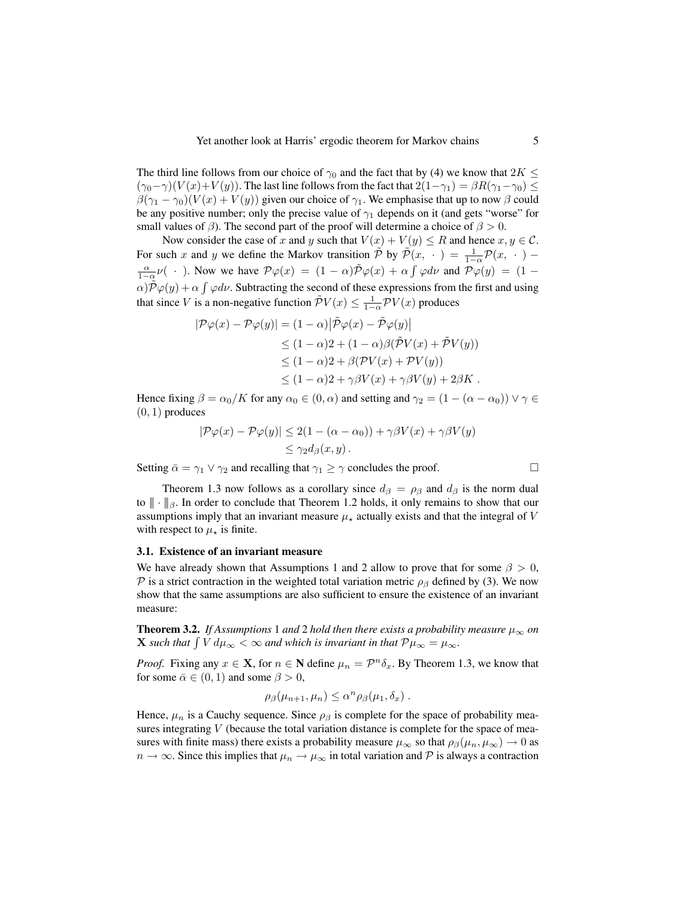The third line follows from our choice of  $\gamma_0$  and the fact that by (4) we know that  $2K \leq$  $(\gamma_0-\gamma)(V(x)+V(y))$ . The last line follows from the fact that  $2(1-\gamma_1) = \beta R(\gamma_1-\gamma_0) \le$  $\beta(\gamma_1 - \gamma_0)(V(x) + V(y))$  given our choice of  $\gamma_1$ . We emphasise that up to now  $\beta$  could be any positive number; only the precise value of  $\gamma_1$  depends on it (and gets "worse" for small values of  $\beta$ ). The second part of the proof will determine a choice of  $\beta > 0$ .

Now consider the case of x and y such that  $V(x) + V(y) \le R$  and hence  $x, y \in C$ . For such x and y we define the Markov transition  $\tilde{\mathcal{P}}$  by  $\tilde{\mathcal{P}}(x, \cdot) = \frac{1}{1-\alpha} \mathcal{P}(x, \cdot)$  –  $\frac{\alpha}{1-\alpha}\nu$  ( · ). Now we have  $\mathcal{P}\varphi(x) = (1-\alpha)\tilde{\mathcal{P}}\varphi(x) + \alpha \int \varphi d\nu$  and  $\mathcal{P}\varphi(y) = (1-\alpha)\tilde{\mathcal{P}}\varphi(y)$  $\alpha$ ) $\tilde{\mathcal{P}}\varphi(y) + \alpha \int \varphi d\nu$ . Subtracting the second of these expressions from the first and using that since V is a non-negative function  $\tilde{\mathcal{P}}V(x) \leq \frac{1}{1-\alpha} \mathcal{P}V(x)$  produces

$$
|\mathcal{P}\varphi(x) - \mathcal{P}\varphi(y)| = (1 - \alpha)|\tilde{\mathcal{P}}\varphi(x) - \tilde{\mathcal{P}}\varphi(y)|
$$
  
\n
$$
\leq (1 - \alpha)2 + (1 - \alpha)\beta(\tilde{\mathcal{P}}V(x) + \tilde{\mathcal{P}}V(y))
$$
  
\n
$$
\leq (1 - \alpha)2 + \beta(\mathcal{P}V(x) + \mathcal{P}V(y))
$$
  
\n
$$
\leq (1 - \alpha)2 + \gamma\beta V(x) + \gamma\beta V(y) + 2\beta K.
$$

Hence fixing  $\beta = \alpha_0/K$  for any  $\alpha_0 \in (0, \alpha)$  and setting and  $\gamma_2 = (1 - (\alpha - \alpha_0)) \vee \gamma \in$  $(0, 1)$  produces

$$
|\mathcal{P}\varphi(x) - \mathcal{P}\varphi(y)| \le 2(1 - (\alpha - \alpha_0)) + \gamma\beta V(x) + \gamma\beta V(y)
$$
  
\$\leq \gamma\_2 d\_\beta(x, y)\$.

Setting  $\bar{\alpha} = \gamma_1 \vee \gamma_2$  and recalling that  $\gamma_1 \ge \gamma$  concludes the proof.

Theorem 1.3 now follows as a corollary since  $d_{\beta} = \rho_{\beta}$  and  $d_{\beta}$  is the norm dual to  $\|\cdot\|_{\beta}$ . In order to conclude that Theorem 1.2 holds, it only remains to show that our assumptions imply that an invariant measure  $\mu_{\star}$  actually exists and that the integral of V with respect to  $\mu_{\star}$  is finite.

#### 3.1. Existence of an invariant measure

We have already shown that Assumptions 1 and 2 allow to prove that for some  $\beta > 0$ , P is a strict contraction in the weighted total variation metric  $\rho_\beta$  defined by (3). We now show that the same assumptions are also sufficient to ensure the existence of an invariant measure:

**Theorem 3.2.** *If Assumptions* 1 *and* 2 *hold then there exists a probability measure*  $\mu_{\infty}$  *on* **X** such that  $\int V d\mu_{\infty} < \infty$  and which is invariant in that  $\mathcal{P}\mu_{\infty} = \mu_{\infty}$ .

*Proof.* Fixing any  $x \in \mathbf{X}$ , for  $n \in \mathbf{N}$  define  $\mu_n = \mathcal{P}^n \delta_x$ . By Theorem 1.3, we know that for some  $\bar{\alpha} \in (0, 1)$  and some  $\beta > 0$ ,

$$
\rho_{\beta}(\mu_{n+1}, \mu_n) \leq \alpha^n \rho_{\beta}(\mu_1, \delta_x).
$$

Hence,  $\mu_n$  is a Cauchy sequence. Since  $\rho_\beta$  is complete for the space of probability measures integrating  $V$  (because the total variation distance is complete for the space of measures with finite mass) there exists a probability measure  $\mu_{\infty}$  so that  $\rho_{\beta}(\mu_n, \mu_{\infty}) \to 0$  as  $n \to \infty$ . Since this implies that  $\mu_n \to \mu_\infty$  in total variation and P is always a contraction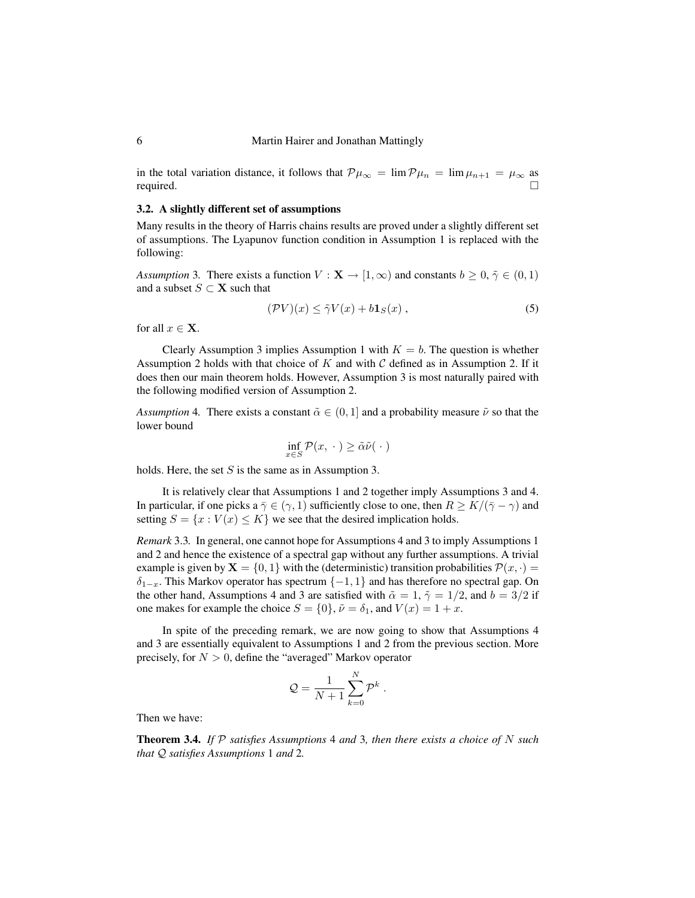in the total variation distance, it follows that  $\mathcal{P}\mu_{\infty} = \lim \mathcal{P}\mu_n = \lim \mu_{n+1} = \mu_{\infty}$  as required. required.

### 3.2. A slightly different set of assumptions

Many results in the theory of Harris chains results are proved under a slightly different set of assumptions. The Lyapunov function condition in Assumption 1 is replaced with the following:

*Assumption* 3. There exists a function  $V : \mathbf{X} \to [1, \infty)$  and constants  $b \geq 0, \tilde{\gamma} \in (0, 1)$ and a subset  $S \subset \mathbf{X}$  such that

$$
(\mathcal{P}V)(x) \le \tilde{\gamma}V(x) + b\mathbf{1}_S(x) ,\qquad(5)
$$

for all  $x \in \mathbf{X}$ .

Clearly Assumption 3 implies Assumption 1 with  $K = b$ . The question is whether Assumption 2 holds with that choice of  $K$  and with  $C$  defined as in Assumption 2. If it does then our main theorem holds. However, Assumption 3 is most naturally paired with the following modified version of Assumption 2.

*Assumption* 4. There exists a constant  $\tilde{\alpha} \in (0, 1]$  and a probability measure  $\tilde{\nu}$  so that the lower bound

$$
\inf_{x \in S} \mathcal{P}(x, \cdot) \ge \tilde{\alpha}\tilde{\nu}(\cdot)
$$

holds. Here, the set  $S$  is the same as in Assumption 3.

It is relatively clear that Assumptions 1 and 2 together imply Assumptions 3 and 4. In particular, if one picks a  $\bar{\gamma} \in (\gamma, 1)$  sufficiently close to one, then  $R \geq K/(\bar{\gamma} - \gamma)$  and setting  $S = \{x : V(x) \leq K\}$  we see that the desired implication holds.

*Remark* 3.3*.* In general, one cannot hope for Assumptions 4 and 3 to imply Assumptions 1 and 2 and hence the existence of a spectral gap without any further assumptions. A trivial example is given by  $X = \{0, 1\}$  with the (deterministic) transition probabilities  $\mathcal{P}(x, \cdot)$  $\delta_{1-x}$ . This Markov operator has spectrum  $\{-1, 1\}$  and has therefore no spectral gap. On the other hand, Assumptions 4 and 3 are satisfied with  $\tilde{\alpha} = 1, \tilde{\gamma} = 1/2$ , and  $b = 3/2$  if one makes for example the choice  $S = \{0\}$ ,  $\tilde{\nu} = \delta_1$ , and  $V(x) = 1 + x$ .

In spite of the preceding remark, we are now going to show that Assumptions 4 and 3 are essentially equivalent to Assumptions 1 and 2 from the previous section. More precisely, for  $N > 0$ , define the "averaged" Markov operator

$$
Q = \frac{1}{N+1} \sum_{k=0}^{N} \mathcal{P}^k.
$$

Then we have:

Theorem 3.4. *If* P *satisfies Assumptions* 4 *and* 3*, then there exists a choice of* N *such that* Q *satisfies Assumptions* 1 *and* 2*.*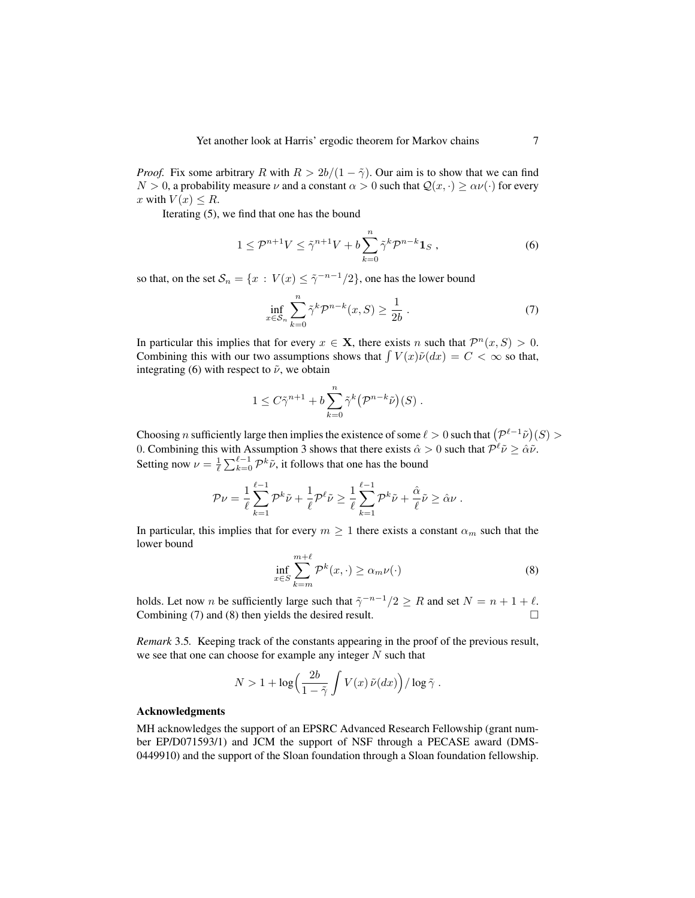*Proof.* Fix some arbitrary R with  $R > 2b/(1 - \tilde{\gamma})$ . Our aim is to show that we can find  $N > 0$ , a probability measure  $\nu$  and a constant  $\alpha > 0$  such that  $\mathcal{Q}(x, \cdot) \ge \alpha \nu(\cdot)$  for every x with  $V(x) \leq R$ .

Iterating (5), we find that one has the bound

$$
1 \le \mathcal{P}^{n+1}V \le \tilde{\gamma}^{n+1}V + b\sum_{k=0}^{n} \tilde{\gamma}^{k}\mathcal{P}^{n-k}\mathbf{1}_{S},\qquad(6)
$$

so that, on the set  $\mathcal{S}_n = \{x : V(x) \leq \tilde{\gamma}^{-n-1}/2\}$ , one has the lower bound

$$
\inf_{x \in S_n} \sum_{k=0}^n \tilde{\gamma}^k \mathcal{P}^{n-k}(x, S) \ge \frac{1}{2b} \,. \tag{7}
$$

In particular this implies that for every  $x \in \mathbf{X}$ , there exists n such that  $\mathcal{P}^n(x, S) > 0$ . Combining this with our two assumptions shows that  $\int V(x)\tilde{\nu}(dx) = C < \infty$  so that, integrating (6) with respect to  $\tilde{\nu}$ , we obtain

$$
1 \leq C\tilde{\gamma}^{n+1} + b\sum_{k=0}^{n} \tilde{\gamma}^k \big(\mathcal{P}^{n-k}\tilde{\nu}\big)(S) .
$$

Choosing n sufficiently large then implies the existence of some  $\ell > 0$  such that  $(\mathcal{P}^{\ell-1}\tilde{\nu})(S) >$ 0. Combining this with Assumption 3 shows that there exists  $\hat{\alpha} > 0$  such that  $\mathcal{P}^{\ell} \tilde{\nu} \geq \hat{\alpha} \tilde{\nu}$ . Setting now  $\nu = \frac{1}{\ell} \sum_{k=0}^{\ell-1} \mathcal{P}^k \tilde{\nu}$ , it follows that one has the bound

$$
\mathcal{P}\nu = \frac{1}{\ell} \sum_{k=1}^{\ell-1} \mathcal{P}^k \tilde{\nu} + \frac{1}{\ell} \mathcal{P}^\ell \tilde{\nu} \ge \frac{1}{\ell} \sum_{k=1}^{\ell-1} \mathcal{P}^k \tilde{\nu} + \frac{\hat{\alpha}}{\ell} \tilde{\nu} \ge \hat{\alpha} \nu.
$$

In particular, this implies that for every  $m \geq 1$  there exists a constant  $\alpha_m$  such that the lower bound

$$
\inf_{x \in S} \sum_{k=m}^{m+\ell} \mathcal{P}^k(x, \cdot) \ge \alpha_m \nu(\cdot) \tag{8}
$$

holds. Let now *n* be sufficiently large such that  $\tilde{\gamma}^{-n-1}/2 \geq R$  and set  $N = n + 1 + \ell$ . Combining (7) and (8) then yields the desired result.  $\Box$ 

*Remark* 3.5*.* Keeping track of the constants appearing in the proof of the previous result, we see that one can choose for example any integer  $N$  such that

$$
N > 1 + \log\left(\frac{2b}{1-\tilde{\gamma}}\int V(x)\,\tilde{\nu}(dx)\right) / \log \tilde{\gamma} .
$$

#### Acknowledgments

MH acknowledges the support of an EPSRC Advanced Research Fellowship (grant number EP/D071593/1) and JCM the support of NSF through a PECASE award (DMS-0449910) and the support of the Sloan foundation through a Sloan foundation fellowship.